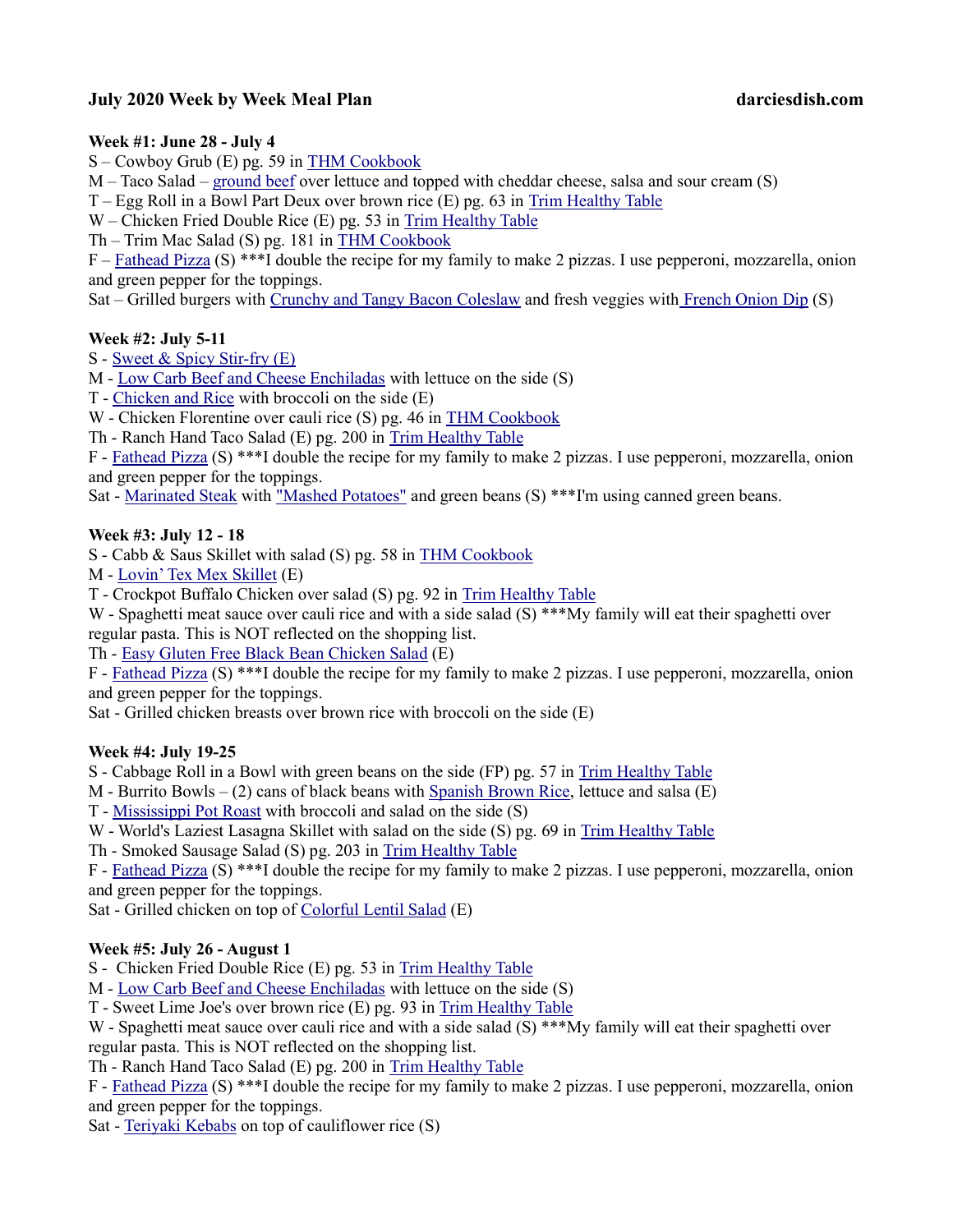# July 2020 Week by Week Meal Plan darciesdish.com

### Week #1: June 28 - July 4

S – Cowboy Grub (E) pg. 59 in THM Cookbook

M – Taco Salad – ground beef over lettuce and topped with cheddar cheese, salsa and sour cream (S)

T – Egg Roll in a Bowl Part Deux over brown rice (E) pg. 63 in Trim Healthy Table

W – Chicken Fried Double Rice (E) pg. 53 in Trim Healthy Table

Th – Trim Mac Salad (S) pg. 181 in THM Cookbook

F – Fathead Pizza (S) \*\*\*I double the recipe for my family to make 2 pizzas. I use pepperoni, mozzarella, onion and green pepper for the toppings.

Sat – Grilled burgers with Crunchy and Tangy Bacon Coleslaw and fresh veggies with French Onion Dip (S)

### Week #2: July 5-11

S - Sweet & Spicy Stir-fry (E)

M - Low Carb Beef and Cheese Enchiladas with lettuce on the side (S)

T - Chicken and Rice with broccoli on the side (E)

W - Chicken Florentine over cauli rice (S) pg. 46 in THM Cookbook

Th - Ranch Hand Taco Salad (E) pg. 200 in Trim Healthy Table

F - Fathead Pizza (S) \*\*\*I double the recipe for my family to make 2 pizzas. I use pepperoni, mozzarella, onion and green pepper for the toppings.

Sat - Marinated Steak with "Mashed Potatoes" and green beans (S) \*\*\*I'm using canned green beans.

### Week #3: July 12 - 18

S - Cabb & Saus Skillet with salad (S) pg. 58 in THM Cookbook

M - Lovin' Tex Mex Skillet (E)

T - Crockpot Buffalo Chicken over salad (S) pg. 92 in Trim Healthy Table

W - Spaghetti meat sauce over cauli rice and with a side salad (S) \*\*\*My family will eat their spaghetti over regular pasta. This is NOT reflected on the shopping list.

Th - Easy Gluten Free Black Bean Chicken Salad (E)

F - Fathead Pizza (S) \*\*\*I double the recipe for my family to make 2 pizzas. I use pepperoni, mozzarella, onion and green pepper for the toppings.

Sat - Grilled chicken breasts over brown rice with broccoli on the side (E)

#### Week #4: July 19-25

S - Cabbage Roll in a Bowl with green beans on the side (FP) pg. 57 in Trim Healthy Table

M - Burrito Bowls  $-$  (2) cans of black beans with Spanish Brown Rice, lettuce and salsa  $(E)$ 

T - Mississippi Pot Roast with broccoli and salad on the side (S)

W - World's Laziest Lasagna Skillet with salad on the side (S) pg. 69 in Trim Healthy Table

Th - Smoked Sausage Salad (S) pg. 203 in Trim Healthy Table

F - Fathead Pizza (S) \*\*\*I double the recipe for my family to make 2 pizzas. I use pepperoni, mozzarella, onion and green pepper for the toppings.

Sat - Grilled chicken on top of Colorful Lentil Salad (E)

## Week #5: July 26 - August 1

S - Chicken Fried Double Rice (E) pg. 53 in Trim Healthy Table

M - Low Carb Beef and Cheese Enchiladas with lettuce on the side (S)

T - Sweet Lime Joe's over brown rice (E) pg. 93 in Trim Healthy Table

W - Spaghetti meat sauce over cauli rice and with a side salad (S) \*\*\*My family will eat their spaghetti over regular pasta. This is NOT reflected on the shopping list.

Th - Ranch Hand Taco Salad (E) pg. 200 in Trim Healthy Table

F - Fathead Pizza (S) \*\*\*I double the recipe for my family to make 2 pizzas. I use pepperoni, mozzarella, onion and green pepper for the toppings.

Sat - Teriyaki Kebabs on top of cauliflower rice (S)